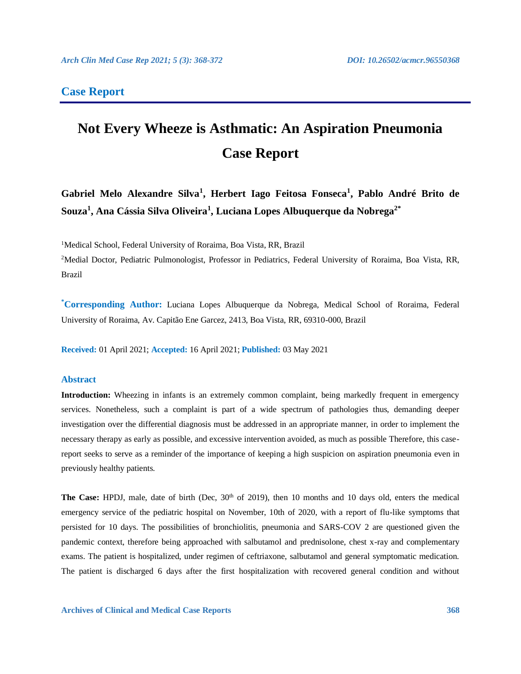# **Case Report**

# **Not Every Wheeze is Asthmatic: An Aspiration Pneumonia Case Report**

**Gabriel Melo Alexandre Silva<sup>1</sup> , Herbert Iago Feitosa Fonseca<sup>1</sup> , Pablo André Brito de Souza<sup>1</sup> , Ana Cássia Silva Oliveira<sup>1</sup> , Luciana Lopes Albuquerque da Nobrega2\***

<sup>1</sup>Medical School, Federal University of Roraima, Boa Vista, RR, Brazil

<sup>2</sup>Medial Doctor, Pediatric Pulmonologist, Professor in Pediatrics, Federal University of Roraima, Boa Vista, RR, Brazil

**\*Corresponding Author:** Luciana Lopes Albuquerque da Nobrega, Medical School of Roraima, Federal University of Roraima, Av. Capitão Ene Garcez, 2413, Boa Vista, RR, 69310-000, Brazil

**Received:** 01 April 2021; **Accepted:** 16 April 2021; **Published:** 03 May 2021

# **Abstract**

**Introduction:** Wheezing in infants is an extremely common complaint, being markedly frequent in emergency services. Nonetheless, such a complaint is part of a wide spectrum of pathologies thus, demanding deeper investigation over the differential diagnosis must be addressed in an appropriate manner, in order to implement the necessary therapy as early as possible, and excessive intervention avoided, as much as possible Therefore, this casereport seeks to serve as a reminder of the importance of keeping a high suspicion on aspiration pneumonia even in previously healthy patients.

**The Case:** HPDJ, male, date of birth (Dec, 30<sup>th</sup> of 2019), then 10 months and 10 days old, enters the medical emergency service of the pediatric hospital on November, 10th of 2020, with a report of flu-like symptoms that persisted for 10 days. The possibilities of bronchiolitis, pneumonia and SARS-COV 2 are questioned given the pandemic context, therefore being approached with salbutamol and prednisolone, chest x-ray and complementary exams. The patient is hospitalized, under regimen of ceftriaxone, salbutamol and general symptomatic medication. The patient is discharged 6 days after the first hospitalization with recovered general condition and without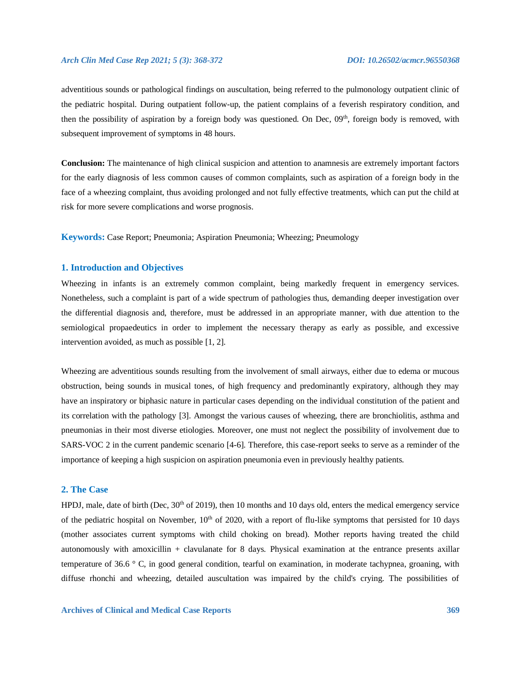#### *Arch Clin Med Case Rep 2021; 5 (3): 368-372 DOI: 10.26502/acmcr.96550368*

adventitious sounds or pathological findings on auscultation, being referred to the pulmonology outpatient clinic of the pediatric hospital. During outpatient follow-up, the patient complains of a feverish respiratory condition, and then the possibility of aspiration by a foreign body was questioned. On Dec,  $0.9^{th}$ , foreign body is removed, with subsequent improvement of symptoms in 48 hours.

**Conclusion:** The maintenance of high clinical suspicion and attention to anamnesis are extremely important factors for the early diagnosis of less common causes of common complaints, such as aspiration of a foreign body in the face of a wheezing complaint, thus avoiding prolonged and not fully effective treatments, which can put the child at risk for more severe complications and worse prognosis.

**Keywords:** Case Report; Pneumonia; Aspiration Pneumonia; Wheezing; Pneumology

# **1. Introduction and Objectives**

Wheezing in infants is an extremely common complaint, being markedly frequent in emergency services. Nonetheless, such a complaint is part of a wide spectrum of pathologies thus, demanding deeper investigation over the differential diagnosis and, therefore, must be addressed in an appropriate manner, with due attention to the semiological propaedeutics in order to implement the necessary therapy as early as possible, and excessive intervention avoided, as much as possible [1, 2].

Wheezing are adventitious sounds resulting from the involvement of small airways, either due to edema or mucous obstruction, being sounds in musical tones, of high frequency and predominantly expiratory, although they may have an inspiratory or biphasic nature in particular cases depending on the individual constitution of the patient and its correlation with the pathology [3]. Amongst the various causes of wheezing, there are bronchiolitis, asthma and pneumonias in their most diverse etiologies. Moreover, one must not neglect the possibility of involvement due to SARS-VOC 2 in the current pandemic scenario [4-6]. Therefore, this case-report seeks to serve as a reminder of the importance of keeping a high suspicion on aspiration pneumonia even in previously healthy patients.

#### **2. The Case**

HPDJ, male, date of birth (Dec,  $30<sup>th</sup>$  of 2019), then 10 months and 10 days old, enters the medical emergency service of the pediatric hospital on November,  $10<sup>th</sup>$  of 2020, with a report of flu-like symptoms that persisted for 10 days (mother associates current symptoms with child choking on bread). Mother reports having treated the child autonomously with amoxicillin + clavulanate for 8 days. Physical examination at the entrance presents axillar temperature of 36.6 ° C, in good general condition, tearful on examination, in moderate tachypnea, groaning, with diffuse rhonchi and wheezing, detailed auscultation was impaired by the child's crying. The possibilities of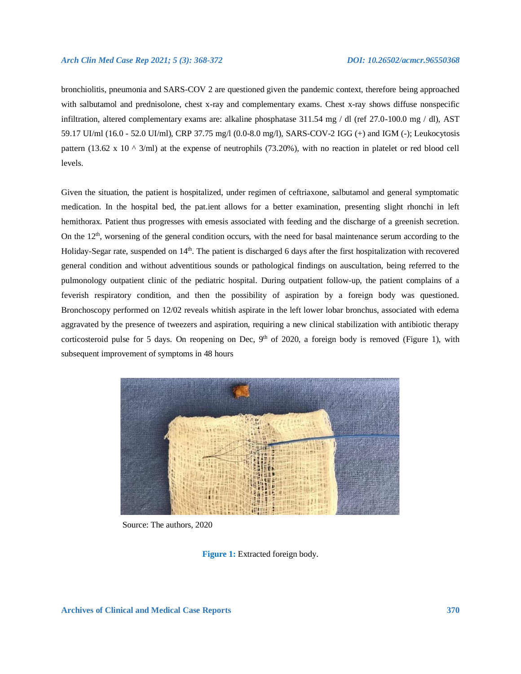bronchiolitis, pneumonia and SARS-COV 2 are questioned given the pandemic context, therefore being approached with salbutamol and prednisolone, chest x-ray and complementary exams. Chest x-ray shows diffuse nonspecific infiltration, altered complementary exams are: alkaline phosphatase 311.54 mg / dl (ref 27.0-100.0 mg / dl), AST 59.17 UI/ml (16.0 - 52.0 UI/ml), CRP 37.75 mg/l (0.0-8.0 mg/l), SARS-COV-2 IGG (+) and IGM (-); Leukocytosis pattern (13.62 x 10  $\land$  3/ml) at the expense of neutrophils (73.20%), with no reaction in platelet or red blood cell levels.

Given the situation, the patient is hospitalized, under regimen of ceftriaxone, salbutamol and general symptomatic medication. In the hospital bed, the pat.ient allows for a better examination, presenting slight rhonchi in left hemithorax. Patient thus progresses with emesis associated with feeding and the discharge of a greenish secretion. On the  $12<sup>th</sup>$ , worsening of the general condition occurs, with the need for basal maintenance serum according to the Holiday-Segar rate, suspended on  $14<sup>th</sup>$ . The patient is discharged 6 days after the first hospitalization with recovered general condition and without adventitious sounds or pathological findings on auscultation, being referred to the pulmonology outpatient clinic of the pediatric hospital. During outpatient follow-up, the patient complains of a feverish respiratory condition, and then the possibility of aspiration by a foreign body was questioned. Bronchoscopy performed on 12/02 reveals whitish aspirate in the left lower lobar bronchus, associated with edema aggravated by the presence of tweezers and aspiration, requiring a new clinical stabilization with antibiotic therapy corticosteroid pulse for 5 days. On reopening on Dec,  $9<sup>th</sup>$  of 2020, a foreign body is removed (Figure 1), with subsequent improvement of symptoms in 48 hours



Source: The authors, 2020

**Figure 1:** Extracted foreign body.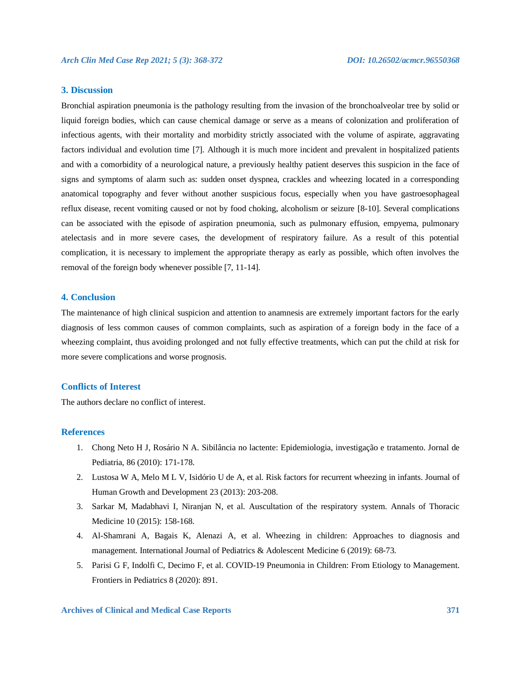# **3. Discussion**

Bronchial aspiration pneumonia is the pathology resulting from the invasion of the bronchoalveolar tree by solid or liquid foreign bodies, which can cause chemical damage or serve as a means of colonization and proliferation of infectious agents, with their mortality and morbidity strictly associated with the volume of aspirate, aggravating factors individual and evolution time [7]. Although it is much more incident and prevalent in hospitalized patients and with a comorbidity of a neurological nature, a previously healthy patient deserves this suspicion in the face of signs and symptoms of alarm such as: sudden onset dyspnea, crackles and wheezing located in a corresponding anatomical topography and fever without another suspicious focus, especially when you have gastroesophageal reflux disease, recent vomiting caused or not by food choking, alcoholism or seizure [8-10]. Several complications can be associated with the episode of aspiration pneumonia, such as pulmonary effusion, empyema, pulmonary atelectasis and in more severe cases, the development of respiratory failure. As a result of this potential complication, it is necessary to implement the appropriate therapy as early as possible, which often involves the removal of the foreign body whenever possible [7, 11-14].

# **4. Conclusion**

The maintenance of high clinical suspicion and attention to anamnesis are extremely important factors for the early diagnosis of less common causes of common complaints, such as aspiration of a foreign body in the face of a wheezing complaint, thus avoiding prolonged and not fully effective treatments, which can put the child at risk for more severe complications and worse prognosis.

### **Conflicts of Interest**

The authors declare no conflict of interest.

# **References**

- 1. Chong Neto H J, Rosário N A. Sibilância no lactente: Epidemiologia, investigação e tratamento. Jornal de Pediatria, 86 (2010): 171-178.
- 2. Lustosa W A, Melo M L V, Isidório U de A, et al. Risk factors for recurrent wheezing in infants. Journal of Human Growth and Development 23 (2013): 203-208.
- 3. Sarkar M, Madabhavi I, Niranjan N, et al. Auscultation of the respiratory system. Annals of Thoracic Medicine 10 (2015): 158-168.
- 4. Al-Shamrani A, Bagais K, Alenazi A, et al. Wheezing in children: Approaches to diagnosis and management. International Journal of Pediatrics & Adolescent Medicine 6 (2019): 68-73.
- 5. Parisi G F, Indolfi C, Decimo F, et al. COVID-19 Pneumonia in Children: From Etiology to Management. Frontiers in Pediatrics 8 (2020): 891.